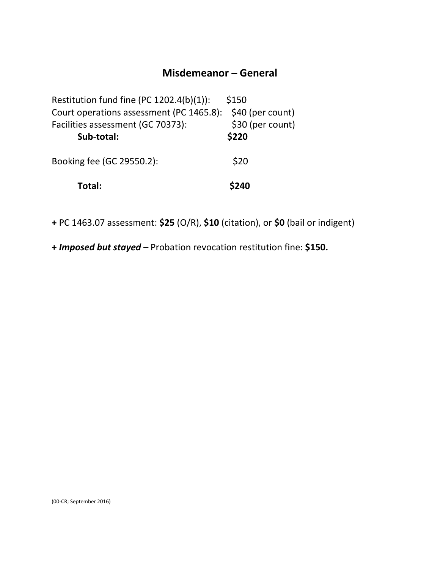### **Misdemeanor – General**

| Restitution fund fine (PC 1202.4(b)(1)): | \$150            |
|------------------------------------------|------------------|
| Court operations assessment (PC 1465.8): | \$40 (per count) |
| Facilities assessment (GC 70373):        | \$30 (per count) |
| Sub-total:                               | \$220            |
| Booking fee (GC 29550.2):                | \$20             |
| Total:                                   | \$240            |

**+** PC 1463.07 assessment: **\$25** (O/R), **\$10** (citation), or **\$0** (bail or indigent)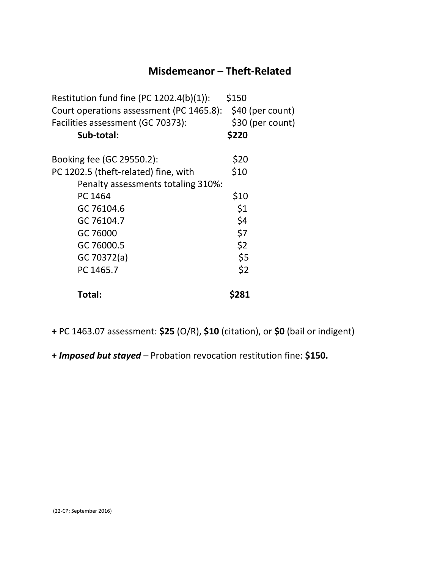# **Misdemeanor – Theft-Related**

| Restitution fund fine (PC 1202.4(b)(1)): | \$150            |
|------------------------------------------|------------------|
| Court operations assessment (PC 1465.8): | \$40 (per count) |
| Facilities assessment (GC 70373):        | \$30 (per count) |
| Sub-total:                               | \$220            |
| Booking fee (GC 29550.2):                | \$20             |
| PC 1202.5 (theft-related) fine, with     | \$10             |
| Penalty assessments totaling 310%:       |                  |
| PC 1464                                  | \$10             |
| GC 76104.6                               | \$1              |
| GC 76104.7                               | \$4              |
| GC 76000                                 | \$7              |
| GC 76000.5                               | \$2              |
| GC 70372(a)                              | \$5              |
| PC 1465.7                                | \$2              |
| Total:                                   | \$281            |

**+** PC 1463.07 assessment: **\$25** (O/R), **\$10** (citation), or **\$0** (bail or indigent)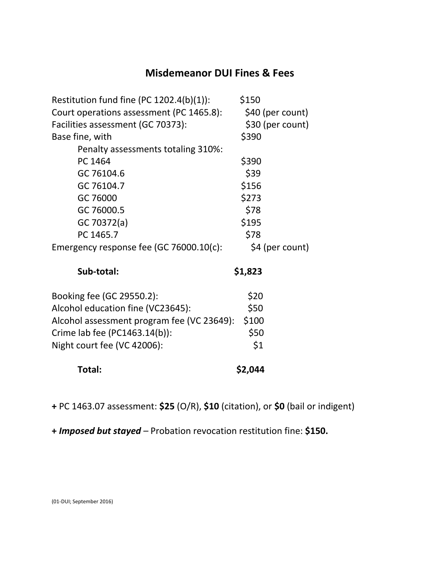# **Misdemeanor DUI Fines & Fees**

| Restitution fund fine (PC $1202.4(b)(1)$ ): | \$150            |
|---------------------------------------------|------------------|
| Court operations assessment (PC 1465.8):    | \$40 (per count) |
| Facilities assessment (GC 70373):           | \$30 (per count) |
| Base fine, with                             | \$390            |
| Penalty assessments totaling 310%:          |                  |
| PC 1464                                     | \$390            |
| GC 76104.6                                  | \$39             |
| GC 76104.7                                  | \$156            |
| GC 76000                                    | \$273            |
| GC 76000.5                                  | \$78             |
| GC 70372(a)                                 | \$195            |
| PC 1465.7                                   | \$78             |
| Emergency response fee (GC 76000.10(c):     | \$4 (per count)  |
| Sub-total:                                  | \$1,823          |
| Booking fee (GC 29550.2):                   | \$20             |
| Alcohol education fine (VC23645):           | \$50             |
| Alcohol assessment program fee (VC 23649):  | \$100            |
| Crime lab fee (PC1463.14(b)):               | \$50             |
| Night court fee (VC 42006):                 | \$1              |
| Total:                                      | \$2,044          |

**+** PC 1463.07 assessment: **\$25** (O/R), **\$10** (citation), or **\$0** (bail or indigent)

**+** *Imposed but stayed –* Probation revocation restitution fine: **\$150.**

(01-DUI; September 2016)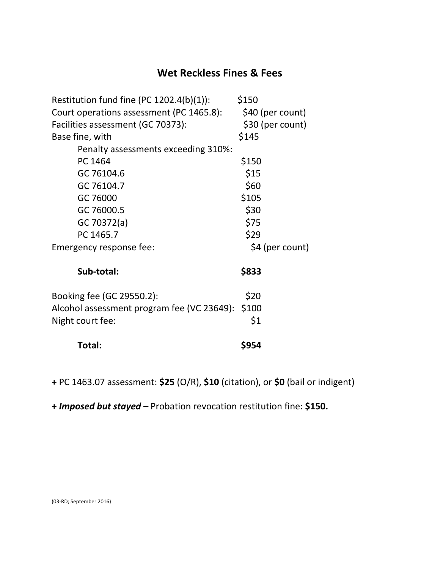# **Wet Reckless Fines & Fees**

| Restitution fund fine (PC $1202.4(b)(1)$ ):      | \$150            |
|--------------------------------------------------|------------------|
| Court operations assessment (PC 1465.8):         | \$40 (per count) |
| Facilities assessment (GC 70373):                | \$30 (per count) |
| Base fine, with                                  | \$145            |
| Penalty assessments exceeding 310%:              |                  |
| PC 1464                                          | \$150            |
| GC 76104.6                                       | \$15             |
| GC 76104.7                                       | \$60             |
| GC 76000                                         | \$105            |
| GC 76000.5                                       | \$30             |
| GC 70372(a)                                      | \$75             |
| PC 1465.7                                        | \$29             |
| Emergency response fee:                          | \$4 (per count)  |
| Sub-total:                                       | \$833            |
| Booking fee (GC 29550.2):                        | \$20             |
| Alcohol assessment program fee (VC 23649): \$100 |                  |
| Night court fee:                                 | \$1              |
| Total:                                           | \$954            |

**+** PC 1463.07 assessment: **\$25** (O/R), **\$10** (citation), or **\$0** (bail or indigent)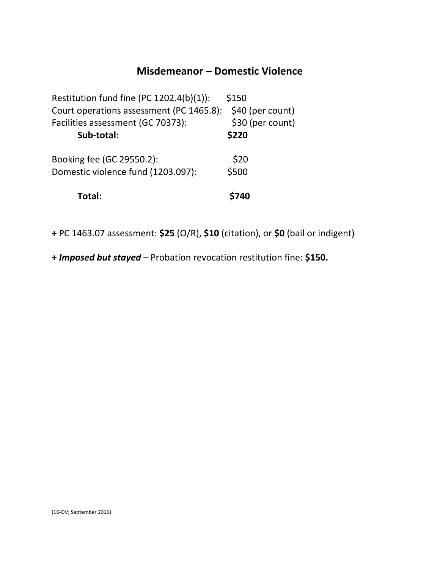### **Misdemeanor – Domestic Violence**

| Total:                                                          | <b>\$740</b>              |
|-----------------------------------------------------------------|---------------------------|
| Booking fee (GC 29550.2):<br>Domestic violence fund (1203.097): | \$20<br>\$500             |
| Facilities assessment (GC 70373):<br>Sub-total:                 | \$30 (per count)<br>\$220 |
| Court operations assessment (PC 1465.8):                        | \$40 (per count)          |
| Restitution fund fine (PC 1202.4(b)(1)):                        | \$150                     |

**+** PC 1463.07 assessment: **\$25** (O/R), **\$10** (citation), or **\$0** (bail or indigent)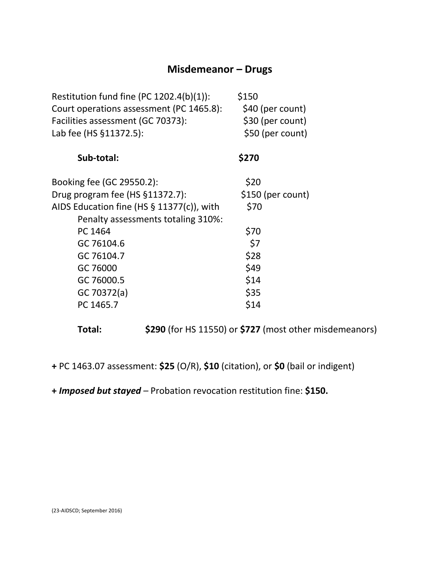# **Misdemeanor – Drugs**

| \$150<br>\$40 (per count)<br>\$30 (per count)<br>\$50 (per count) |
|-------------------------------------------------------------------|
| \$270                                                             |
| \$20                                                              |
| \$150 (per count)                                                 |
| \$70                                                              |
|                                                                   |
| \$70                                                              |
| \$7                                                               |
| \$28                                                              |
| \$49                                                              |
| \$14                                                              |
| \$35                                                              |
| \$14                                                              |
|                                                                   |

**Total: \$290** (for HS 11550) or **\$727** (most other misdemeanors)

**+** PC 1463.07 assessment: **\$25** (O/R), **\$10** (citation), or **\$0** (bail or indigent)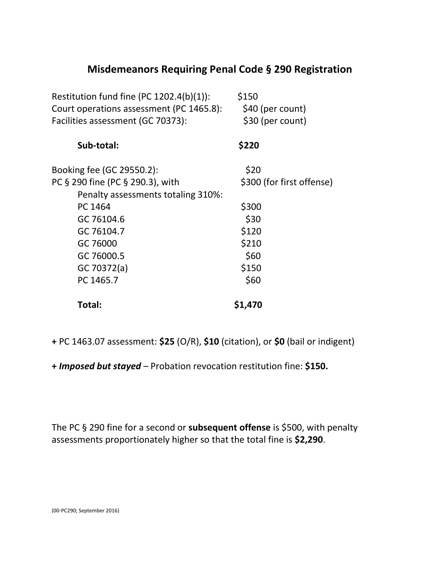# **Misdemeanors Requiring Penal Code § 290 Registration**

| Restitution fund fine (PC $1202.4(b)(1)$ ):<br>Court operations assessment (PC 1465.8): | \$150<br>\$40 (per count) |
|-----------------------------------------------------------------------------------------|---------------------------|
| Facilities assessment (GC 70373):                                                       | \$30 (per count)          |
| Sub-total:                                                                              | \$220                     |
| Booking fee (GC 29550.2):                                                               | \$20                      |
| PC § 290 fine (PC § 290.3), with                                                        | \$300 (for first offense) |
| Penalty assessments totaling 310%:                                                      |                           |
| PC 1464                                                                                 | \$300                     |
| GC 76104.6                                                                              | \$30                      |
| GC 76104.7                                                                              | \$120                     |
| GC 76000                                                                                | \$210                     |
| GC 76000.5                                                                              | \$60                      |
| GC 70372(a)                                                                             | \$150                     |
| PC 1465.7                                                                               | \$60                      |
| Total:                                                                                  | \$1,470                   |

**+** PC 1463.07 assessment: **\$25** (O/R), **\$10** (citation), or **\$0** (bail or indigent)

**+** *Imposed but stayed –* Probation revocation restitution fine: **\$150.**

The PC § 290 fine for a second or **subsequent offense** is \$500, with penalty assessments proportionately higher so that the total fine is **\$2,290**.

(00-PC290; September 2016)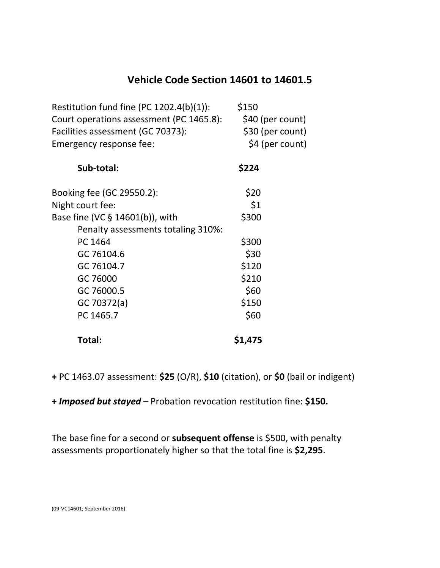# **Vehicle Code Section 14601 to 14601.5**

| Restitution fund fine (PC $1202.4(b)(1)$ ): | \$150            |
|---------------------------------------------|------------------|
| Court operations assessment (PC 1465.8):    | \$40 (per count) |
| Facilities assessment (GC 70373):           | \$30 (per count) |
| Emergency response fee:                     | \$4 (per count)  |
| Sub-total:                                  | \$224            |
| Booking fee (GC 29550.2):                   | \$20             |
| Night court fee:                            | \$1              |
| Base fine (VC § 14601(b)), with             | \$300            |
| Penalty assessments totaling 310%:          |                  |
| PC 1464                                     | \$300            |
| GC 76104.6                                  | \$30             |
| GC 76104.7                                  | \$120            |
| GC 76000                                    | \$210            |
| GC 76000.5                                  | \$60             |
| GC 70372(a)                                 | \$150            |
| PC 1465.7                                   | \$60             |
| Total:                                      | \$1,475          |

**+** PC 1463.07 assessment: **\$25** (O/R), **\$10** (citation), or **\$0** (bail or indigent)

**+** *Imposed but stayed –* Probation revocation restitution fine: **\$150.**

The base fine for a second or **subsequent offense** is \$500, with penalty assessments proportionately higher so that the total fine is **\$2,295**.

(09-VC14601; September 2016)